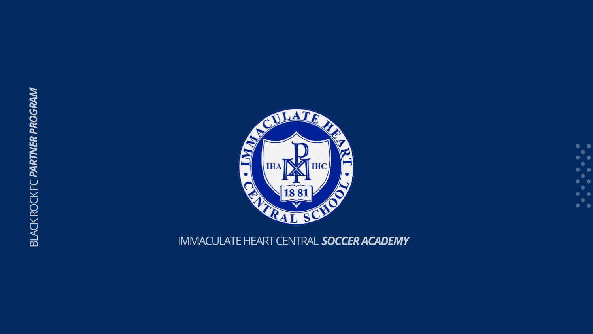

## a discussion of the contract of the MMACULATE HEART CENTRAL



ă.  $\ddot{\phantom{a}}$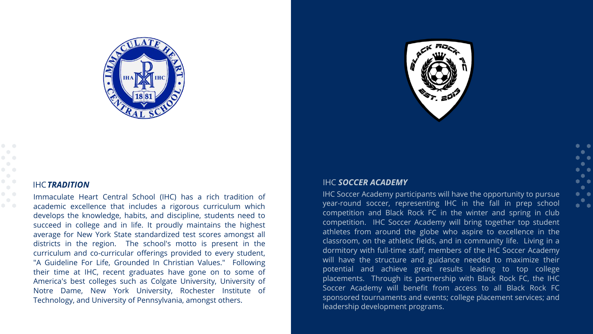IHC Soccer Academy participants will have the opportunity to pursue year-round soccer, representing IHC in the fall in prep school competition and Black Rock FC in the winter and spring in club competition. IHC Soccer Academy will bring together top student athletes from around the globe who aspire to excellence in the classroom, on the athletic fields, and in community life. Living in a dormitory with full-time staff, members of the IHC Soccer Academy will have the structure and guidance needed to maximize their potential and achieve great results leading to top college placements. Through its partnership with Black Rock FC, the IHC Soccer Academy will benefit from access to all Black Rock FC sponsored tournaments and events; college placement services; and leadership development programs.



## IHC*TRADITION* IHC *SOCCER ACADEMY*



Immaculate Heart Central School (IHC) has a rich tradition of academic excellence that includes a rigorous curriculum which develops the knowledge, habits, and discipline, students need to succeed in college and in life. It proudly maintains the highest average for New York State standardized test scores amongst all districts in the region. The school's motto is present in the curriculum and co-curricular offerings provided to every student, "A Guideline For Life, Grounded In Christian Values." Following their time at IHC, recent graduates have gone on to some of America's best colleges such as Colgate University, University of Notre Dame, New York University, Rochester Institute of Technology, and University of Pennsylvania, amongst others.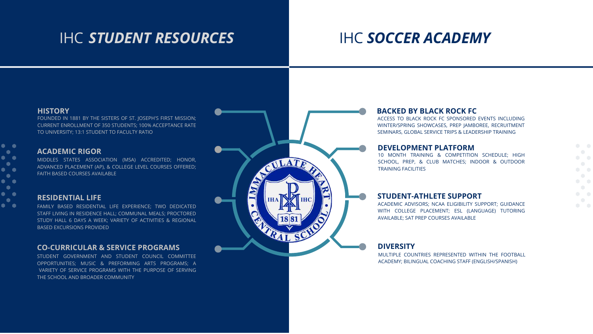# IHC *STUDENT RESOURCES* IHC *SOCCER ACADEMY*

10 MONTH TRAINING & COMPETITION SCHEDULE; HIGH SCHOOL, PREP, & CLUB MATCHES; INDOOR & OUTDOOR TRAINING FACILITIES

## **DEVELOPMENT PLATFORM**

ACADEMIC ADVISORS; NCAA ELIGIBILITY SUPPORT; GUIDANCE WITH COLLEGE PLACEMENT; ESL (LANGUAGE) TUTORING AVAILABLE; SAT PREP COURSES AVAILABLE

## **STUDENT-ATHLETE SUPPORT**

MULTIPLE COUNTRIES REPRESENTED WITHIN THE FOOTBALL ACADEMY; BILINGUAL COACHING STAFF (ENGLISH/SPANISH)

## **DIVERSITY**

MIDDLES STATES ASSOCIATION (MSA) ACCREDITED; HONOR, ADVANCED PLACEMENT (AP), & COLLEGE LEVEL COURSES OFFERED; FAITH BASED COURSES AVAILABLE

### **ACADEMIC RIGOR**

STUDENT GOVERNMENT AND STUDENT COUNCIL COMMITTEE OPPORTUNITIES; MUSIC & PREFORMING ARTS PROGRAMS; A VARIETY OF SERVICE PROGRAMS WITH THE PURPOSE OF SERVING THE SCHOOL AND BROADER COMMUNITY



## **CO-CURRICULAR & SERVICE PROGRAMS**

ACCESS TO BLACK ROCK FC SPONSORED EVENTS INCLUDING WINTER/SPRING SHOWCASES, PREP JAMBOREE, RECRUITMENT SEMINARS, GLOBAL SERVICE TRIPS & LEADERSHIP TRAINING

## **BACKED BY BLACK ROCK FC**

FAMILY BASED RESIDENTIAL LIFE EXPERIENCE; TWO DEDICATED STAFF LIVING IN RESIDENCE HALL; COMMUNAL MEALS; PROCTORED STUDY HALL 6 DAYS A WEEK; VARIETY OF ACTIVITIES & REGIONAL BASED EXCURSIONS PROVIDED

## **RESIDENTIAL LIFE**

FOUNDED IN 1881 BY THE SISTERS OF ST. JOSEPH'S FIRST MISSION; CURRENT ENROLLMENT OF 350 STUDENTS; 100% ACCEPTANCE RATE TO UNIVERSITY; 13:1 STUDENT TO FACULTY RATIO

## **HISTORY**

**A**  $\bullet$  $\bullet\quad \bullet$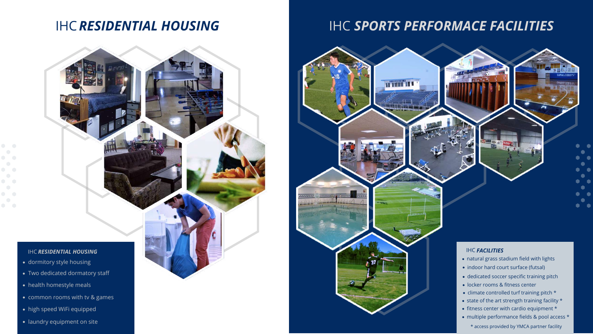# IHC*RESIDENTIAL HOUSING* IHC *SPORTS PERFORMACE FACILITIES*

## **IHC FACILITIES**

# **RESIDENTIAL HOUSING** dormitory style housing Two dedicated dormatory staff

- health homestyle meals
- common rooms with tv & games
- high speed WiFi equipped
- laundry equipment on site

**THE TE** 



- natural grass stadium field with lights
- indoor hard court surface (futsal)
- dedicated soccer specific training pitch
- locker rooms & fitness center
- climate controlled turf training pitch \*
- $\bullet$  state of the art strength training facility  $\star$
- fitness center with cardio equipment \*
- multiple performance fields & pool access \*

\* access provided by YMCA partner facility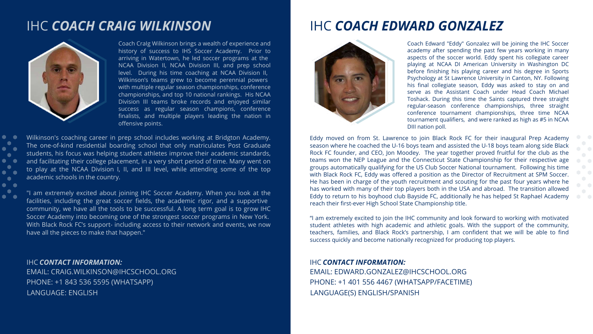Eddy moved on from St. Lawrence to join Black Rock FC for their inaugural Prep Academy season where he coached the U-16 boys team and assisted the U-18 boys team along side Black Rock FC founder, and CEO, Jon Moodey. The year together proved fruitful for the club as the teams won the NEP League and the Connecticut State Championship for their respective age groups automatically qualifying for the US Club Soccer National tournament. Following his time with Black Rock FC, Eddy was offered a position as the Director of Recruitment at SPM Soccer. He has been in charge of the youth recruitment and scouting for the past four years where he has worked with many of their top players both in the USA and abroad. The transition allowed Eddy to return to his boyhood club Bayside FC, additionally he has helped St Raphael Academy reach their first-ever High School State Championship title.

"I am extremely excited to join the IHC community and look forward to working with motivated student athletes with high academic and athletic goals. With the support of the community, teachers, families, and Black Rock's partnership, I am confident that we will be able to find success quickly and become nationally recognized for producing top players.

Wilkinson's coaching career in prep school includes working at Bridgton Academy. The one-of-kind residential boarding school that only matriculates Post Graduate students, his focus was helping student athletes improve their academic standards, and facilitating their college placement, in a very short period of time. Many went on to play at the NCAA Division I, II, and III level, while attending some of the top academic schools in the country.

"I am extremely excited about joining IHC Soccer Academy. When you look at the facilities, including the great soccer fields, the academic rigor, and a supportive community, we have all the tools to be successful. A long term goal is to grow IHC Soccer Academy into becoming one of the strongest soccer programs in New York. With Black Rock FC's support- including access to their network and events, we now have all the pieces to make that happen."

# IHC *COACH CRAIG WILKINSON*



 $\ddot{\phantom{a}}$ 

 $\bullet$  $\bullet$  .  $\bullet$ 

 $\bullet$  $\bullet$  .

 $\ddot{\phantom{a}}$ 

Coach CraIg Wilkinson brings a wealth of experience and history of success to IHS Soccer Academy. Prior to arriving in Watertown, he led soccer programs at the NCAA Division II, NCAA Division III, and prep school level. During his time coaching at NCAA Division II, Wilkinson's teams grew to become perennial powers with multiple regular season championships, conference championships, and top 10 national rankings. His NCAA Division III teams broke records and enjoyed similar success as regular season champions, conference finalists, and multiple players leading the nation in offensive points.

Coach Edward "Eddy" Gonzalez will be joining the IHC Soccer academy after spending the past few years working in many aspects of the soccer world. Eddy spent his collegiate career playing at NCAA DI American University in Washington DC before finishing his playing career and his degree in Sports Psychology at St Lawrence University in Canton, NY. Following his final collegiate season, Eddy was asked to stay on and serve as the Assistant Coach under Head Coach Michael Toshack. During this time the Saints captured three straight regular-season conference championships, three straight conference tournament championships, three time NCAA tournament qualifiers, and were ranked as high as #5 in NCAA DIII nation poll.

# IHC *COACH EDWARD GONZALEZ*



IHC *CONTACT INFORMATION:* EMAIL: CRAIG.WILKINSON@IHCSCHOOL.ORG PHONE: +1 843 536 5595 (WHATSAPP) LANGUAGE: ENGLISH LANGUAGE(S) ENGLISH/SPANISH

IHC *CONTACT INFORMATION:* EMAIL: EDWARD.GONZALEZ@IHCSCHOOL.ORG PHONE: +1 401 556 4467 (WHATSAPP/FACETIME)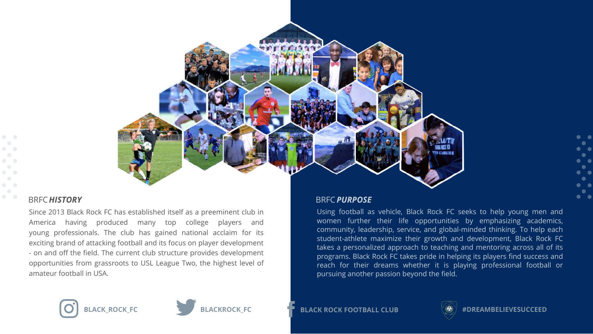

## BRFC*HISTORY*

**#DREAMBELIEVESUCCEED**

Using football as vehicle, Black Rock FC seeks to help young men and women further their life opportunities by emphasizing academics, community, leadership, service, and global-minded thinking. To help each student-athlete maximize their growth and development, Black Rock FC takes a personalized approach to teaching and mentoring across all of its programs. Black Rock FC takes pride in helping its players find success and reach for their dreams whether it is playing professional football or pursuing another passion beyond the field.





Since 2013 Black Rock FC has established itself as a preeminent club in America having produced many top college players and young professionals. The club has gained national acclaim for its exciting brand of attacking football and its focus on player development - on and off the field. The current club structure provides development opportunities from grassroots to USL League Two, the highest level of amateur football in USA.





## BRFC *PURPOSE*